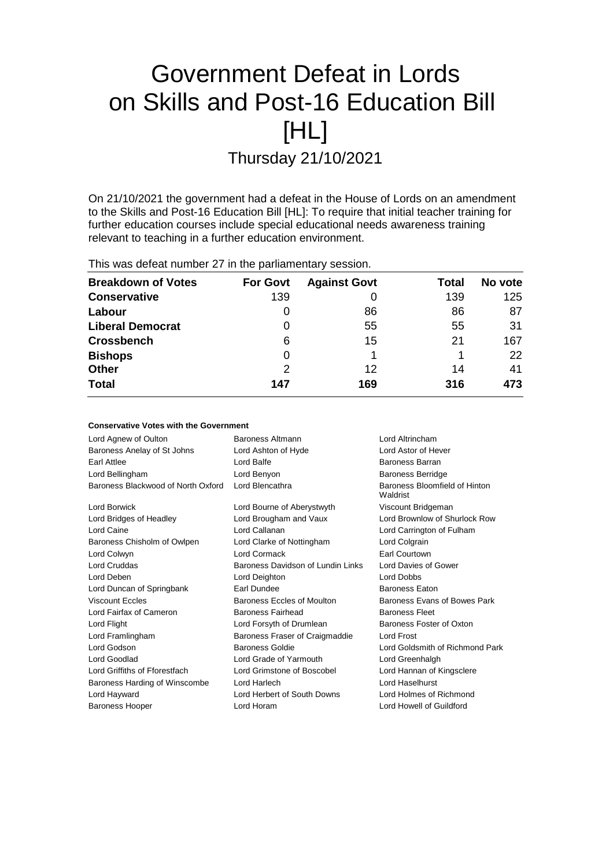# Government Defeat in Lords on Skills and Post-16 Education Bill [HL]

Thursday 21/10/2021

On 21/10/2021 the government had a defeat in the House of Lords on an amendment to the Skills and Post-16 Education Bill [HL]: To require that initial teacher training for further education courses include special educational needs awareness training relevant to teaching in a further education environment.

This was defeat number 27 in the parliamentary session.

| <b>Breakdown of Votes</b> | <b>For Govt</b> | <b>Against Govt</b> | Total | No vote |
|---------------------------|-----------------|---------------------|-------|---------|
| <b>Conservative</b>       | 139             | O                   | 139   | 125     |
| Labour                    | 0               | 86                  | 86    | 87      |
| <b>Liberal Democrat</b>   | 0               | 55                  | 55    | 31      |
| <b>Crossbench</b>         | 6               | 15                  | 21    | 167     |
| <b>Bishops</b>            | 0               |                     |       | 22      |
| <b>Other</b>              | 2               | 12                  | 14    | 41      |
| <b>Total</b>              | 147             | 169                 | 316   | 473     |

### **Conservative Votes with the Government**

| Lord Agnew of Oulton               | Baroness Altmann                  | Lord Altrincham                           |  |
|------------------------------------|-----------------------------------|-------------------------------------------|--|
| Baroness Anelay of St Johns        | Lord Ashton of Hyde               | Lord Astor of Hever                       |  |
| Earl Attlee                        | Lord Balfe                        | Baroness Barran                           |  |
| Lord Bellingham                    | Lord Benyon                       | <b>Baroness Berridge</b>                  |  |
| Baroness Blackwood of North Oxford | Lord Blencathra                   | Baroness Bloomfield of Hinton<br>Waldrist |  |
| Lord Borwick                       | Lord Bourne of Aberystwyth        | Viscount Bridgeman                        |  |
| Lord Bridges of Headley            | Lord Brougham and Vaux            | Lord Brownlow of Shurlock Row             |  |
| Lord Caine                         | Lord Callanan                     | Lord Carrington of Fulham                 |  |
| Baroness Chisholm of Owlpen        | Lord Clarke of Nottingham         | Lord Colgrain                             |  |
| Lord Colwyn                        | Lord Cormack                      | Earl Courtown                             |  |
| <b>Lord Cruddas</b>                | Baroness Davidson of Lundin Links | Lord Davies of Gower                      |  |
| Lord Deben                         | Lord Deighton                     | Lord Dobbs                                |  |
| Lord Duncan of Springbank          | Earl Dundee                       | Baroness Eaton                            |  |
| Viscount Feeles                    | Baroness Eccles of Moulton        | Baroness Evans of Bowes Park              |  |
| Lord Fairfax of Cameron            | <b>Baroness Fairhead</b>          | <b>Baroness Fleet</b>                     |  |
| Lord Flight                        | Lord Forsyth of Drumlean          | Baroness Foster of Oxton                  |  |
| Lord Framlingham                   | Baroness Fraser of Craigmaddie    | Lord Frost                                |  |
| Lord Godson                        | Baroness Goldie                   | Lord Goldsmith of Richmond Park           |  |
| <b>Lord Goodlad</b>                | Lord Grade of Yarmouth            | Lord Greenhalgh                           |  |
| Lord Griffiths of Fforestfach      | Lord Grimstone of Boscobel        | Lord Hannan of Kingsclere                 |  |
| Baroness Harding of Winscombe      | Lord Harlech                      | Lord Haselhurst                           |  |
| Lord Hayward                       | Lord Herbert of South Downs       | Lord Holmes of Richmond                   |  |
| <b>Baroness Hooper</b>             | Lord Horam                        | Lord Howell of Guildford                  |  |
|                                    |                                   |                                           |  |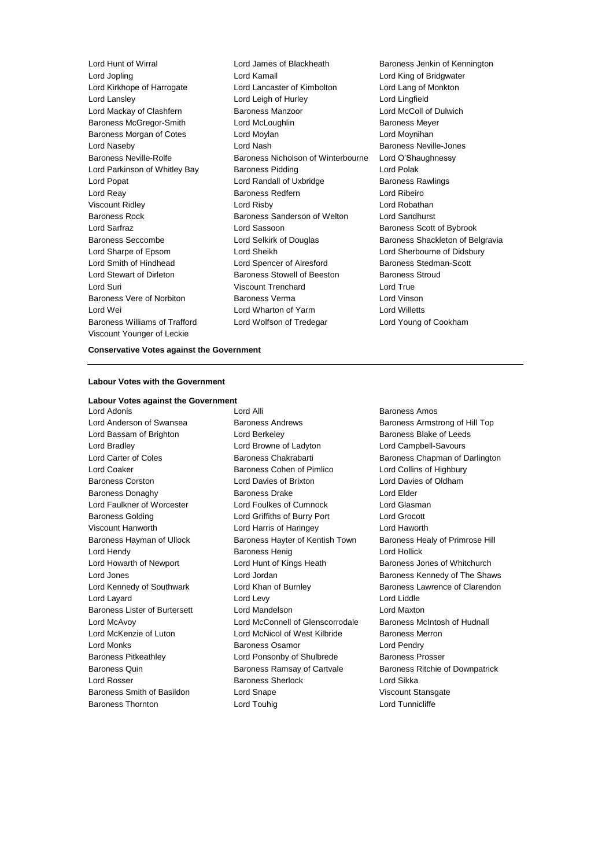Viscount Younger of Leckie

Lord Hunt of Wirral Lord James of Blackheath Baroness Jenkin of Kennington Lord Jopling Lord Kamall Lord King of Bridgwater Lord Kirkhope of Harrogate Lord Lancaster of Kimbolton Lord Lang of Monkton Lord Lansley Lord Leigh of Hurley Lord Lingfield Lord Mackay of Clashfern Baroness Manzoor Lord McColl of Dulwich Baroness McGregor-Smith Lord McLoughlin Baroness Meyer Baroness Morgan of Cotes Lord Moylan Lord Move Lord Movinhan Lord Naseby **Lord Nash Baroness Neville-Jones** Lord Nash Baroness Neville-Jones Baroness Neville-Rolfe **Baroness Nicholson of Winterbourne** Lord O'Shaughnessy Lord Parkinson of Whitley Bay Baroness Pidding Theorem Cord Polak Lord Popat Lord Randall of Uxbridge Baroness Rawlings Lord Reay Baroness Redfern Lord Ribeiro Viscount Ridley Lord Risby Lord Robathan Baroness Rock Baroness Sanderson of Welton Lord Sandhurst Lord Sarfraz **Lord Sassoon** Baroness Scott of Bybrook Baroness Seccombe **Lord Selkirk of Douglas** Baroness Shackleton of Belgravia Lord Sharpe of Epsom Lord Sheikh Lord Sherbourne of Didsbury Lord Smith of Hindhead Lord Spencer of Alresford Baroness Stedman-Scott Lord Stewart of Dirleton Baroness Stowell of Beeston Baroness Stroud Lord Suri Viscount Trenchard Lord True Baroness Vere of Norbiton Baroness Verma Lord Vinson Lord Wei Lord Wharton of Yarm Lord Willetts Baroness Williams of Trafford Lord Wolfson of Tredegar Lord Young of Cookham

#### **Conservative Votes against the Government**

#### **Labour Votes with the Government**

### **Labour Votes against the Government**

Lord Anderson of Swansea Baroness Andrews Baroness Armstrong of Hill Top Lord Bassam of Brighton **Lord Berkeley Communist Baroness Blake of Leeds** Lord Bradley Lord Browne of Ladyton Lord Campbell-Savours Lord Carter of Coles **Baroness Chakrabarti** Baroness Chapman of Darlington Lord Coaker Baroness Cohen of Pimlico Lord Collins of Highbury Baroness Corston Lord Davies of Brixton Lord Davies of Oldham Baroness Donaghy Baroness Drake Lord Elder Lord Faulkner of Worcester Lord Foulkes of Cumnock Lord Glasman Baroness Golding Lord Griffiths of Burry Port Lord Grocott Viscount Hanworth Lord Harris of Haringey Lord Haworth Baroness Hayman of Ullock Baroness Hayter of Kentish Town Baroness Healy of Primrose Hill Lord Hendy **Baroness Henig Constructs** Lord Hollick Lord Howarth of Newport **Lord Hunt of Kings Heath** Baroness Jones of Whitchurch Lord Jones Lord Jordan Baroness Kennedy of The Shaws Lord Kennedy of Southwark Lord Khan of Burnley Baroness Lawrence of Clarendon Lord Layard Lord Levy Lord Liddle Baroness Lister of Burtersett Lord Mandelson Lord Maxton Lord McAvoy Lord McConnell of Glenscorrodale Baroness McIntosh of Hudnall Lord McKenzie of Luton **Lord McNicol of West Kilbride** Baroness Merron Lord Monks Baroness Osamor Lord Pendry Baroness Pitkeathley **Lord Ponsonby of Shulbrede** Baroness Prosser Baroness Quin **Baroness Ramsay of Cartvale** Baroness Ritchie of Downpatrick Lord Rosser **Baroness Sherlock** Lord Sikka Baroness Smith of Basildon **Lord Snape Viscount Stansgate** Baroness Thornton **Lord Touhig** Lord Tunnicliffe

Baroness Amos